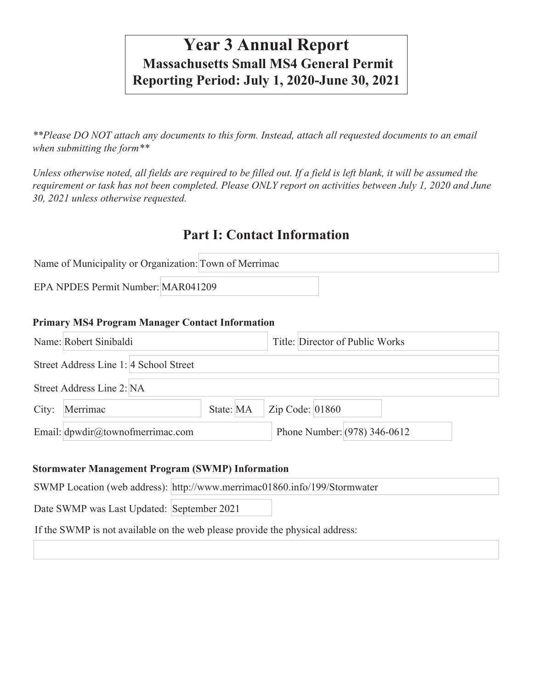# **Year 3 Annual Report Massachusetts Small MS4 General Permit Reporting Period: July 1, 2020-June 30, 2021**

*\*\*Please DO NOT attach any documents to this form. Instead, attach all requested documents to an email when submitting the form\*\** 

*Unless otherwise noted, all fields are required to be filled out. If a field is left blank, it will be assumed the requirement or task has not been completed. Please ONLY report on activities between July 1, 2020 and June 30, 2021 unless otherwise requested.*

## **Part I: Contact Information**

| Name of Municipality or Organization: Town of Merrimac |  |
|--------------------------------------------------------|--|
| EPA NPDES Permit Number: MAR041209                     |  |

#### **Primary MS4 Program Manager Contact Information**

|       | Name: Robert Sinibaldi                 |           | Title: Director of Public Works |                   |  |                                |  |  |  |
|-------|----------------------------------------|-----------|---------------------------------|-------------------|--|--------------------------------|--|--|--|
|       | Street Address Line 1: 4 School Street |           |                                 |                   |  |                                |  |  |  |
|       | Street Address Line 2: NA              |           |                                 |                   |  |                                |  |  |  |
| City: | Merrimac                               | State: MA |                                 | Zip Code: $01860$ |  |                                |  |  |  |
|       | Email: dpwdir@townofmerrimac.com       |           |                                 |                   |  | Phone Number: $(978)$ 346-0612 |  |  |  |

#### **Stormwater Management Program (SWMP) Information**

| SWMP Location (web address): http://www.merrimac01860.info/199/Stormwater    |  |
|------------------------------------------------------------------------------|--|
| Date SWMP was Last Updated: September 2021                                   |  |
| If the SWMP is not available on the web please provide the physical address: |  |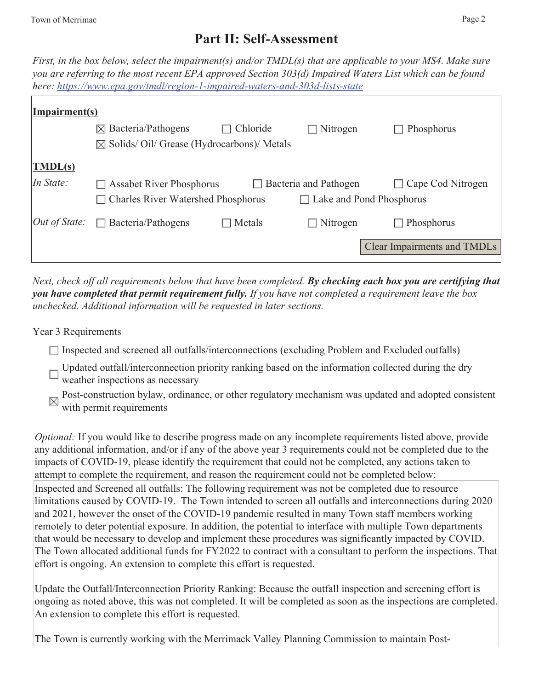## **Part II: Self-Assessment**

*First, in the box below, select the impairment(s) and/or TMDL(s) that are applicable to your MS4. Make sure you are referring to the most recent EPA approved Section 303(d) Impaired Waters List which can be found here: https://www.epa.gov/tmdl/region-1-impaired-waters-and-303d-lists-state*

| Impairment(s)                     |                                                     |          |                                 |                             |
|-----------------------------------|-----------------------------------------------------|----------|---------------------------------|-----------------------------|
|                                   | $\boxtimes$ Bacteria/Pathogens                      | Chloride | $\Box$ Nitrogen                 | Phosphorus                  |
|                                   | $\boxtimes$ Solids/Oil/Grease (Hydrocarbons)/Metals |          |                                 |                             |
| $\vert \overline{\text{TMDL(s)}}$ |                                                     |          |                                 |                             |
| In State:                         | <b>Assabet River Phosphorus</b>                     |          | $\Box$ Bacteria and Pathogen    | Cape Cod Nitrogen<br>$\Box$ |
|                                   | <b>Charles River Watershed Phosphorus</b>           |          | $\Box$ Lake and Pond Phosphorus |                             |
| $Out$ of State:                   | Bacteria/Pathogens<br>$\Box$                        | Metals   | $\Box$ Nitrogen                 | Phosphorus<br>$\Box$        |
|                                   |                                                     |          |                                 | Clear Impairments and TMDLs |

*Next, check off all requirements below that have been completed. By checking each box you are certifying that you have completed that permit requirement fully. If you have not completed a requirement leave the box unchecked. Additional information will be requested in later sections.* 

### Year 3 Requirements

- $\Box$  Inspected and screened all outfalls/interconnections (excluding Problem and Excluded outfalls)
- Updated outfall/interconnection priority ranking based on the information collected during the dry  $\Box$  weather inspections as necessary
- Post-construction bylaw, ordinance, or other regulatory mechanism was updated and adopted consistent with permit requirements

*Optional:* If you would like to describe progress made on any incomplete requirements listed above, provide any additional information, and/or if any of the above year 3 requirements could not be completed due to the impacts of COVID-19, please identify the requirement that could not be completed, any actions taken to attempt to complete the requirement, and reason the requirement could not be completed below: Inspected and Screened all outfalls: The following requirement was not be completed due to resource limitations caused by COVID-19. The Town intended to screen all outfalls and interconnections during 2020 and 2021, however the onset of the COVID-19 pandemic resulted in many Town staff members working remotely to deter potential exposure. In addition, the potential to interface with multiple Town departments that would be necessary to develop and implement these procedures was significantly impacted by COVID. The Town allocated additional funds for FY2022 to contract with a consultant to perform the inspections. That effort is ongoing. An extension to complete this effort is requested.

Update the Outfall/Interconnection Priority Ranking: Because the outfall inspection and screening effort is ongoing as noted above, this was not completed. It will be completed as soon as the inspections are completed. An extension to complete this effort is requested.

The Town is currently working with the Merrimack Valley Planning Commission to maintain Post-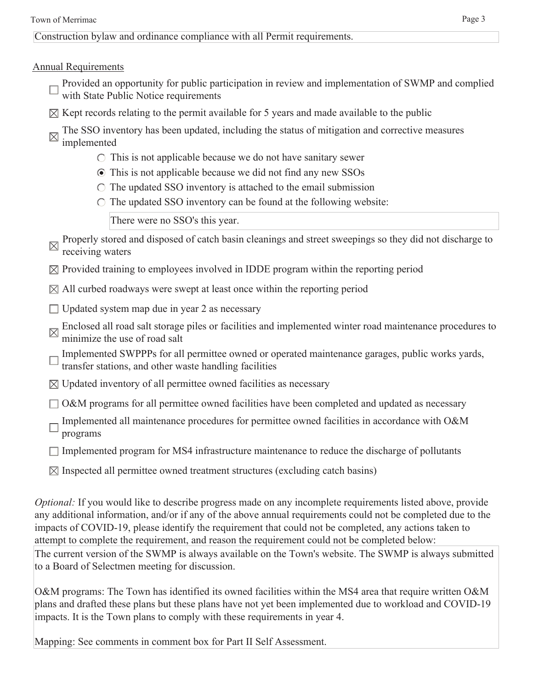Construction bylaw and ordinance compliance with all Permit requirements.

### Annual Requirements

- Provided an opportunity for public participation in review and implementation of SWMP and complied with State Public Notice requirements
- $\boxtimes$  Kept records relating to the permit available for 5 years and made available to the public
- The SSO inventory has been updated, including the status of mitigation and corrective measures implemented
	- $\circ$  This is not applicable because we do not have sanitary sewer
	- This is not applicable because we did not find any new SSOs
	- $\circ$  The updated SSO inventory is attached to the email submission
	- $\circ$  The updated SSO inventory can be found at the following website:

There were no SSO's this year.

- Properly stored and disposed of catch basin cleanings and street sweepings so they did not discharge to receiving waters
- $\boxtimes$  Provided training to employees involved in IDDE program within the reporting period
- $\boxtimes$  All curbed roadways were swept at least once within the reporting period
- $\Box$  Updated system map due in year 2 as necessary
- Enclosed all road salt storage piles or facilities and implemented winter road maintenance procedures to minimize the vector of  $\mathbb{R}^n$ . minimize the use of road salt
- Implemented SWPPPs for all permittee owned or operated maintenance garages, public works yards, transfer stations, and other waste handling facilities
- $\boxtimes$  Updated inventory of all permittee owned facilities as necessary
- $\Box$  O&M programs for all permittee owned facilities have been completed and updated as necessary
- Implemented all maintenance procedures for permittee owned facilities in accordance with O&M programs
- $\Box$  Implemented program for MS4 infrastructure maintenance to reduce the discharge of pollutants
- $\boxtimes$  Inspected all permittee owned treatment structures (excluding catch basins)

*Optional:* If you would like to describe progress made on any incomplete requirements listed above, provide any additional information, and/or if any of the above annual requirements could not be completed due to the impacts of COVID-19, please identify the requirement that could not be completed, any actions taken to attempt to complete the requirement, and reason the requirement could not be completed below: The current version of the SWMP is always available on the Town's website. The SWMP is always submitted to a Board of Selectmen meeting for discussion.

O&M programs: The Town has identified its owned facilities within the MS4 area that require written O&M plans and drafted these plans but these plans have not yet been implemented due to workload and COVID-19 impacts. It is the Town plans to comply with these requirements in year 4.

Mapping: See comments in comment box for Part II Self Assessment.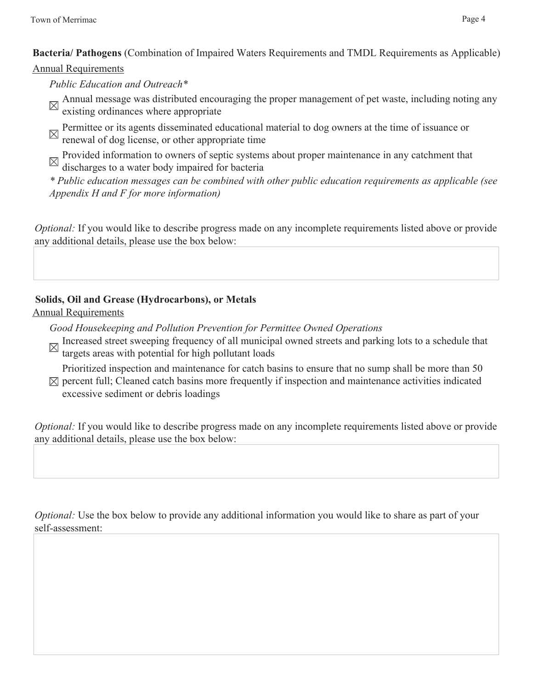**Bacteria/ Pathogens** (Combination of Impaired Waters Requirements and TMDL Requirements as Applicable)

### Annual Requirements

*Public Education and Outreach\**

- Annual message was distributed encouraging the proper management of pet waste, including noting any existing ordinances where appropriate
- Permittee or its agents disseminated educational material to dog owners at the time of issuance or renewal of dog license, or other appropriate time

Provided information to owners of septic systems about proper maintenance in any catchment that discharges to a water body impaired for bacteria

*\* Public education messages can be combined with other public education requirements as applicable (see Appendix H and F for more information)*

*Optional:* If you would like to describe progress made on any incomplete requirements listed above or provide any additional details, please use the box below:

### **Solids, Oil and Grease (Hydrocarbons), or Metals**

### Annual Requirements

*Good Housekeeping and Pollution Prevention for Permittee Owned Operations*

Increased street sweeping frequency of all municipal owned streets and parking lots to a schedule that there is a schedule that targets areas with potential for high pollutant loads

Prioritized inspection and maintenance for catch basins to ensure that no sump shall be more than 50  $\boxtimes$  percent full; Cleaned catch basins more frequently if inspection and maintenance activities indicated

excessive sediment or debris loadings

*Optional:* If you would like to describe progress made on any incomplete requirements listed above or provide any additional details, please use the box below:

*Optional:* Use the box below to provide any additional information you would like to share as part of your self-assessment: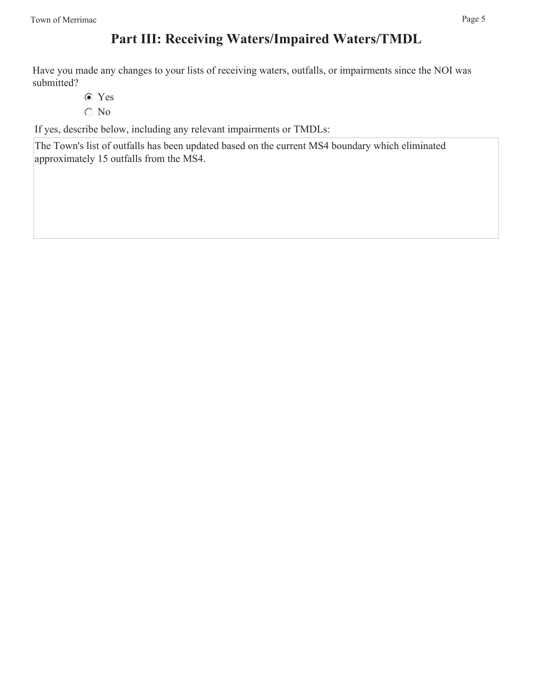## **Part III: Receiving Waters/Impaired Waters/TMDL**

Have you made any changes to your lists of receiving waters, outfalls, or impairments since the NOI was submitted?

- Yes
- $\bigcirc$  No

If yes, describe below, including any relevant impairments or TMDLs:

The Town's list of outfalls has been updated based on the current MS4 boundary which eliminated approximately 15 outfalls from the MS4.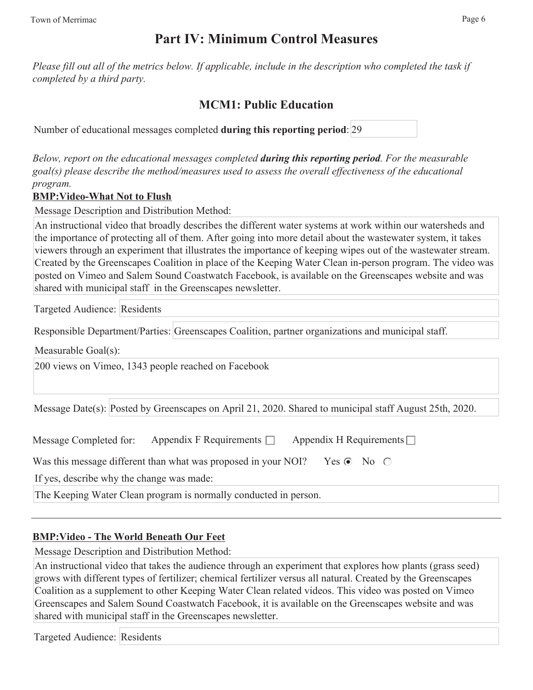## **Part IV: Minimum Control Measures**

*Please fill out all of the metrics below. If applicable, include in the description who completed the task if completed by a third party.* 

### **MCM1: Public Education**

Number of educational messages completed **during this reporting period**: 29

*Below, report on the educational messages completed during this reporting period. For the measurable goal(s) please describe the method/measures used to assess the overall effectiveness of the educational program.*

### **BMP:Video-What Not to Flush**

Message Description and Distribution Method:

An instructional video that broadly describes the different water systems at work within our watersheds and the importance of protecting all of them. After going into more detail about the wastewater system, it takes viewers through an experiment that illustrates the importance of keeping wipes out of the wastewater stream. Created by the Greenscapes Coalition in place of the Keeping Water Clean in-person program. The video was posted on Vimeo and Salem Sound Coastwatch Facebook, is available on the Greenscapes website and was shared with municipal staff in the Greenscapes newsletter.

Targeted Audience: Residents

Responsible Department/Parties: Greenscapes Coalition, partner organizations and municipal staff.

Measurable Goal(s):

200 views on Vimeo, 1343 people reached on Facebook

Message Date(s): Posted by Greenscapes on April 21, 2020. Shared to municipal staff August 25th, 2020.

| Message Completed for: | Appendix F Requirements $\square$ | Appendix H Requirements $\Box$ |
|------------------------|-----------------------------------|--------------------------------|
|------------------------|-----------------------------------|--------------------------------|

Was this message different than what was proposed in your NOI? Yes  $\odot$  No  $\odot$ 

If yes, describe why the change was made:

The Keeping Water Clean program is normally conducted in person.

### **BMP:Video - The World Beneath Our Feet**

Message Description and Distribution Method:

An instructional video that takes the audience through an experiment that explores how plants (grass seed) grows with different types of fertilizer; chemical fertilizer versus all natural. Created by the Greenscapes Coalition as a supplement to other Keeping Water Clean related videos. This video was posted on Vimeo Greenscapes and Salem Sound Coastwatch Facebook, it is available on the Greenscapes website and was shared with municipal staff in the Greenscapes newsletter.

Targeted Audience: Residents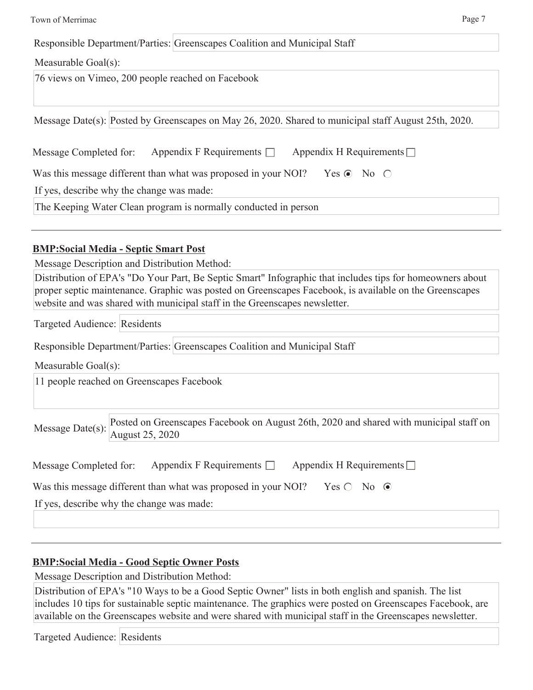| Town of Merrimac                                                                                     | Page 7 |
|------------------------------------------------------------------------------------------------------|--------|
| Responsible Department/Parties: Greenscapes Coalition and Municipal Staff                            |        |
| Measurable Goal(s):                                                                                  |        |
| 76 views on Vimeo, 200 people reached on Facebook                                                    |        |
| Message Date(s): Posted by Greenscapes on May 26, 2020. Shared to municipal staff August 25th, 2020. |        |
| Appendix F Requirements $\Box$ Appendix H Requirements $\Box$<br>Message Completed for:              |        |
| Was this message different than what was proposed in your NOI? Yes $\odot$ No $\odot$                |        |
| If yes, describe why the change was made:                                                            |        |
| The Keeping Water Clean program is normally conducted in person                                      |        |

### **BMP:Social Media - Septic Smart Post**

Message Description and Distribution Method:

Distribution of EPA's "Do Your Part, Be Septic Smart" Infographic that includes tips for homeowners about proper septic maintenance. Graphic was posted on Greenscapes Facebook, is available on the Greenscapes website and was shared with municipal staff in the Greenscapes newsletter.

Targeted Audience: Residents

Responsible Department/Parties: Greenscapes Coalition and Municipal Staff

Measurable Goal(s):

11 people reached on Greenscapes Facebook

Message Date(s): Posted on Greenscapes Facebook on August 26th, 2020 and shared with municipal staff on August 25, 2020

| Appendix F Requirements $\Box$<br>Message Completed for: | Appendix H Requirements $\Box$ |
|----------------------------------------------------------|--------------------------------|
|----------------------------------------------------------|--------------------------------|

Was this message different than what was proposed in your NOI? Yes  $\bigcirc$  No  $\bigcirc$ 

If yes, describe why the change was made:

### **BMP:Social Media - Good Septic Owner Posts**

Message Description and Distribution Method:

Distribution of EPA's "10 Ways to be a Good Septic Owner" lists in both english and spanish. The list includes 10 tips for sustainable septic maintenance. The graphics were posted on Greenscapes Facebook, are available on the Greenscapes website and were shared with municipal staff in the Greenscapes newsletter.

Targeted Audience: Residents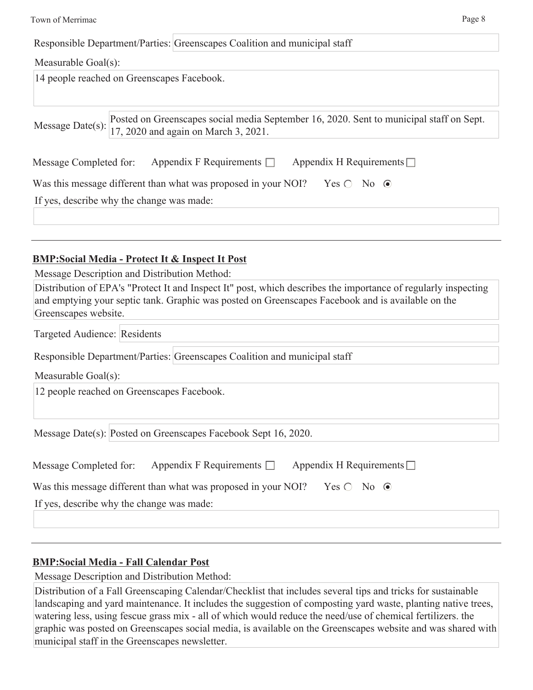| Page 8<br>Town of Merrimac                                                                                                                                                                                                                                                                                                                                                                |
|-------------------------------------------------------------------------------------------------------------------------------------------------------------------------------------------------------------------------------------------------------------------------------------------------------------------------------------------------------------------------------------------|
| Responsible Department/Parties: Greenscapes Coalition and municipal staff                                                                                                                                                                                                                                                                                                                 |
| Measurable Goal(s):                                                                                                                                                                                                                                                                                                                                                                       |
| 14 people reached on Greenscapes Facebook.                                                                                                                                                                                                                                                                                                                                                |
| Posted on Greenscapes social media September 16, 2020. Sent to municipal staff on Sept.<br>Message Date(s):<br>17, 2020 and again on March 3, 2021.                                                                                                                                                                                                                                       |
| Appendix F Requirements $\Box$<br>Appendix H Requirements $\Box$<br>Message Completed for:                                                                                                                                                                                                                                                                                                |
| Was this message different than what was proposed in your NOI?<br>Yes $\bigcirc$ No $\odot$                                                                                                                                                                                                                                                                                               |
| If yes, describe why the change was made:                                                                                                                                                                                                                                                                                                                                                 |
| <b>BMP:Social Media - Protect It &amp; Inspect It Post</b><br>Message Description and Distribution Method:<br>Distribution of EPA's "Protect It and Inspect It" post, which describes the importance of regularly inspecting<br>and emptying your septic tank. Graphic was posted on Greenscapes Facebook and is available on the<br>Greenscapes website.<br>Targeted Audience: Residents |
|                                                                                                                                                                                                                                                                                                                                                                                           |
| Responsible Department/Parties: Greenscapes Coalition and municipal staff                                                                                                                                                                                                                                                                                                                 |
| Measurable Goal(s):                                                                                                                                                                                                                                                                                                                                                                       |
| 12 people reached on Greenscapes Facebook.                                                                                                                                                                                                                                                                                                                                                |
| Message Date(s): Posted on Greenscapes Facebook Sept 16, 2020.                                                                                                                                                                                                                                                                                                                            |
| Appendix F Requirements $\square$<br>Appendix H Requirements $\Box$<br>Message Completed for:                                                                                                                                                                                                                                                                                             |
| Was this message different than what was proposed in your NOI?<br>Yes $\bigcirc$ No $\odot$                                                                                                                                                                                                                                                                                               |
| If yes, describe why the change was made:                                                                                                                                                                                                                                                                                                                                                 |

## **BMP:Social Media - Fall Calendar Post**

Message Description and Distribution Method:

| Distribution of a Fall Greenscaping Calendar/Checklist that includes several tips and tricks for sustainable  |
|---------------------------------------------------------------------------------------------------------------|
| landscaping and yard maintenance. It includes the suggestion of composting yard waste, planting native trees, |
| watering less, using fescue grass mix - all of which would reduce the need/use of chemical fertilizers, the   |
| graphic was posted on Greenscapes social media, is available on the Greenscapes website and was shared with   |
| municipal staff in the Greenscapes newsletter.                                                                |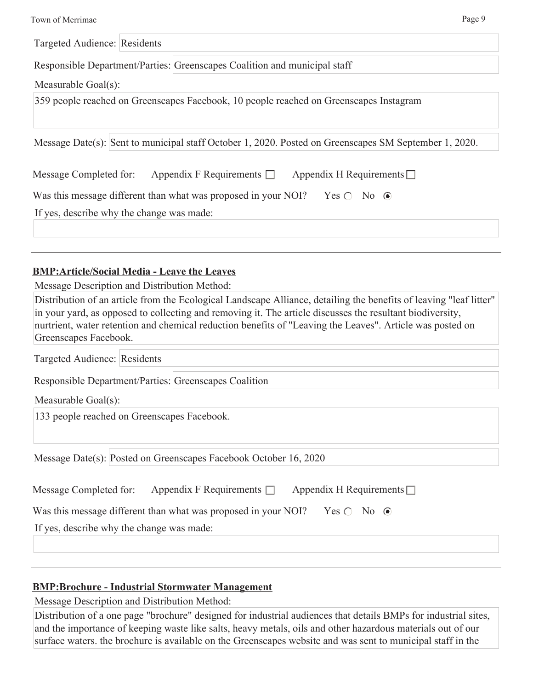| Town of Merrimac | Page 9 |
|------------------|--------|
|------------------|--------|

Targeted Audience: Residents

Responsible Department/Parties: Greenscapes Coalition and municipal staff

Measurable Goal(s):

359 people reached on Greenscapes Facebook, 10 people reached on Greenscapes Instagram

Message Date(s): Sent to municipal staff October 1, 2020. Posted on Greenscapes SM September 1, 2020.

| Message Completed for: | Appendix F Requirements $\Box$ | Appendix H Requirements $\Box$ |
|------------------------|--------------------------------|--------------------------------|
|                        |                                |                                |

If yes, describe why the change was made:

### **BMP:Article/Social Media - Leave the Leaves**

Message Description and Distribution Method:

Distribution of an article from the Ecological Landscape Alliance, detailing the benefits of leaving "leaf litter" in your yard, as opposed to collecting and removing it. The article discusses the resultant biodiversity, nurtrient, water retention and chemical reduction benefits of "Leaving the Leaves". Article was posted on Greenscapes Facebook.

Targeted Audience: Residents

Responsible Department/Parties: Greenscapes Coalition

Measurable Goal(s):

133 people reached on Greenscapes Facebook.

Message Date(s): Posted on Greenscapes Facebook October 16, 2020

| Message Completed for:                    | Appendix F Requirements $\Box$                                 |                            | Appendix H Requirements $\Box$ |  |
|-------------------------------------------|----------------------------------------------------------------|----------------------------|--------------------------------|--|
|                                           | Was this message different than what was proposed in your NOI? | $Yes \bigcirc No \bigcirc$ |                                |  |
| If yes, describe why the change was made: |                                                                |                            |                                |  |

### **BMP:Brochure - Industrial Stormwater Management**

Message Description and Distribution Method:

Distribution of a one page "brochure" designed for industrial audiences that details BMPs for industrial sites, and the importance of keeping waste like salts, heavy metals, oils and other hazardous materials out of our surface waters. the brochure is available on the Greenscapes website and was sent to municipal staff in the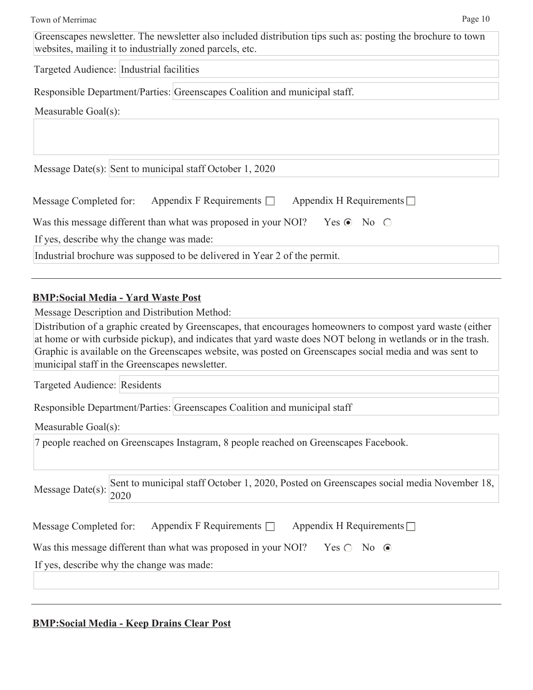Greenscapes newsletter. The newsletter also included distribution tips such as: posting the brochure to town websites, mailing it to industrially zoned parcels, etc.

Targeted Audience: Industrial facilities

Responsible Department/Parties: Greenscapes Coalition and municipal staff.

Measurable Goal(s):

Message Date(s): Sent to municipal staff October 1, 2020

| Message Completed for: | Appendix F Requirements $\Box$ | Appendix H Requirements $\Box$ |
|------------------------|--------------------------------|--------------------------------|
|------------------------|--------------------------------|--------------------------------|

| Was this message different than what was proposed in your NOI? Yes $\odot$ No $\odot$ |  |  |  |
|---------------------------------------------------------------------------------------|--|--|--|
|---------------------------------------------------------------------------------------|--|--|--|

If yes, describe why the change was made:

Industrial brochure was supposed to be delivered in Year 2 of the permit.

### **BMP:Social Media - Yard Waste Post**

Message Description and Distribution Method:

Distribution of a graphic created by Greenscapes, that encourages homeowners to compost yard waste (either at home or with curbside pickup), and indicates that yard waste does NOT belong in wetlands or in the trash. Graphic is available on the Greenscapes website, was posted on Greenscapes social media and was sent to municipal staff in the Greenscapes newsletter.

Targeted Audience: Residents

Responsible Department/Parties: Greenscapes Coalition and municipal staff

Measurable Goal(s):

7 people reached on Greenscapes Instagram, 8 people reached on Greenscapes Facebook.

Message Date(s): Sent to municipal staff October 1, 2020, Posted on Greenscapes social media November 18, 2020

| Message Completed for: Appendix F Requirements □ Appendix H Requirements □ |
|----------------------------------------------------------------------------|
|                                                                            |

Was this message different than what was proposed in your NOI? Yes  $\bigcirc$  No  $\bigcirc$ 

If yes, describe why the change was made:

### **BMP:Social Media - Keep Drains Clear Post**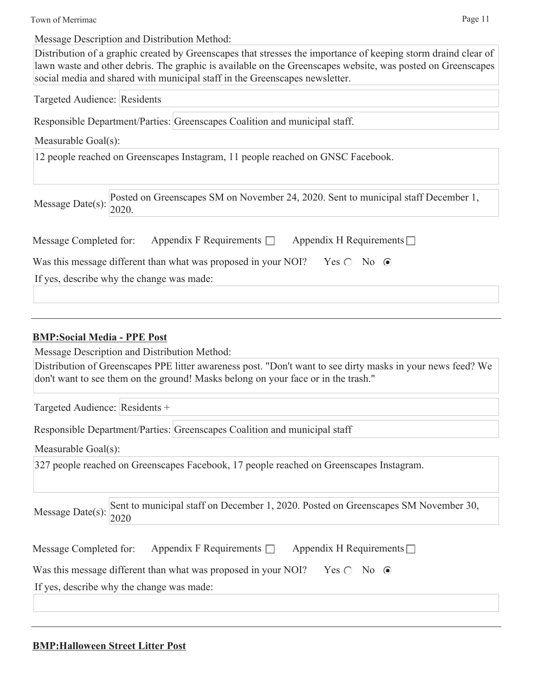Town of Merrimac Page 11

Message Description and Distribution Method:

Distribution of a graphic created by Greenscapes that stresses the importance of keeping storm draind clear of lawn waste and other debris. The graphic is available on the Greenscapes website, was posted on Greenscapes social media and shared with municipal staff in the Greenscapes newsletter.

Targeted Audience: Residents

Responsible Department/Parties: Greenscapes Coalition and municipal staff.

Measurable Goal(s):

12 people reached on Greenscapes Instagram, 11 people reached on GNSC Facebook.

Message Date(s): Posted on Greenscapes SM on November 24, 2020. Sent to municipal staff December 1, 2020.

| Message Completed for: | Appendix F Requirements $\Box$ | Appendix H Requirements $\square$ |
|------------------------|--------------------------------|-----------------------------------|
|------------------------|--------------------------------|-----------------------------------|

Was this message different than what was proposed in your NOI? Yes  $\bigcirc$  No  $\bigcirc$ 

If yes, describe why the change was made:

### **BMP:Social Media - PPE Post**

Message Description and Distribution Method:

Distribution of Greenscapes PPE litter awareness post. "Don't want to see dirty masks in your news feed? We don't want to see them on the ground! Masks belong on your face or in the trash."

Targeted Audience: Residents +

Responsible Department/Parties: Greenscapes Coalition and municipal staff

Measurable Goal(s):

327 people reached on Greenscapes Facebook, 17 people reached on Greenscapes Instagram.

Sent to municipal staff on December 1, 2020. Posted on Greenscapes SM November 30, Message Date(s):  $\frac{100111}{2020}$ 

| Message Completed for: | Appendix F Requirements $\Box$ | Appendix H Requirements $\Box$ |
|------------------------|--------------------------------|--------------------------------|
|------------------------|--------------------------------|--------------------------------|

Was this message different than what was proposed in your NOI? Yes  $\bigcirc$  No  $\bigcirc$ 

If yes, describe why the change was made:

### **BMP:Halloween Street Litter Post**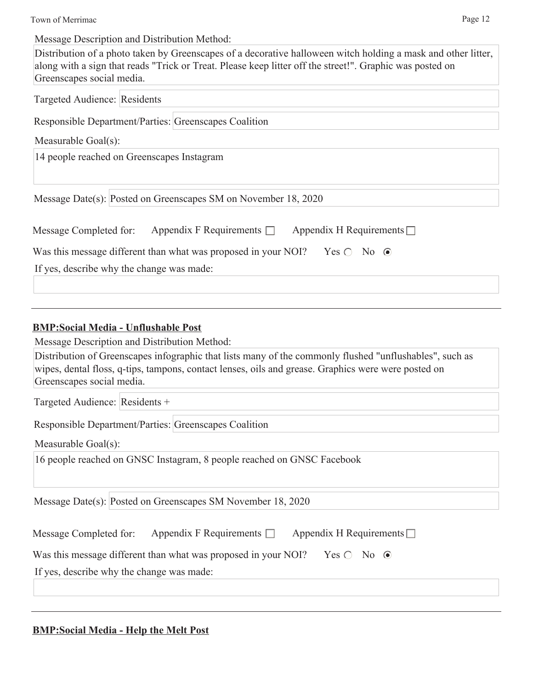Town of Merrimac Page 12

Message Description and Distribution Method:

Distribution of a photo taken by Greenscapes of a decorative halloween witch holding a mask and other litter, along with a sign that reads "Trick or Treat. Please keep litter off the street!". Graphic was posted on Greenscapes social media.

Targeted Audience: Residents

Responsible Department/Parties: Greenscapes Coalition

Measurable Goal(s):

14 people reached on Greenscapes Instagram

Message Date(s): Posted on Greenscapes SM on November 18, 2020

| Message Completed for:                    | Appendix F Requirements $\Box$                                 | Appendix H Requirements $\Box$ |  |
|-------------------------------------------|----------------------------------------------------------------|--------------------------------|--|
|                                           | Was this message different than what was proposed in your NOI? | $Yes \bigcirc No \ \odot$      |  |
| If yes, describe why the change was made: |                                                                |                                |  |

### **BMP:Social Media - Unflushable Post**

Message Description and Distribution Method:

| Distribution of Greenscapes infographic that lists many of the commonly flushed "unflushables", such as |
|---------------------------------------------------------------------------------------------------------|
| wipes, dental floss, q-tips, tampons, contact lenses, oils and grease. Graphics were were posted on     |
| Greenscapes social media.                                                                               |

Targeted Audience: Residents +

Responsible Department/Parties: Greenscapes Coalition

Measurable Goal(s):

16 people reached on GNSC Instagram, 8 people reached on GNSC Facebook

Message Date(s): Posted on Greenscapes SM November 18, 2020

| Message Completed for: | Appendix F Requirements $\Box$ | Appendix H Requirements $\Box$ |
|------------------------|--------------------------------|--------------------------------|
|------------------------|--------------------------------|--------------------------------|

| Was this message different than what was proposed in your NOI? Yes $\bigcirc$ No $\bigcirc$ |  |  |  |  |  |
|---------------------------------------------------------------------------------------------|--|--|--|--|--|
|---------------------------------------------------------------------------------------------|--|--|--|--|--|

If yes, describe why the change was made:

### **BMP:Social Media - Help the Melt Post**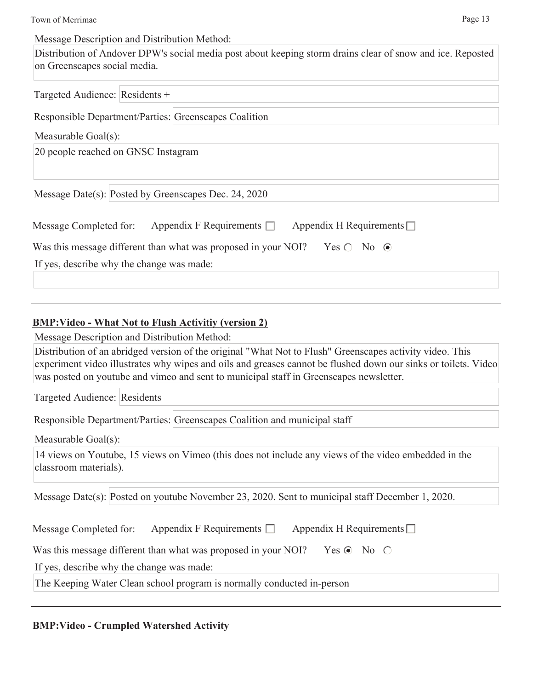Message Description and Distribution Method:

Distribution of Andover DPW's social media post about keeping storm drains clear of snow and ice. Reposted on Greenscapes social media.

Targeted Audience: Residents +

Responsible Department/Parties: Greenscapes Coalition

Measurable Goal(s):

20 people reached on GNSC Instagram

Message Date(s): Posted by Greenscapes Dec. 24, 2020

| Message Completed for:                    | Appendix F Requirements $\Box$                                 | Appendix H Requirements $\Box$ |
|-------------------------------------------|----------------------------------------------------------------|--------------------------------|
|                                           | Was this message different than what was proposed in your NOI? | $Yes \bigcirc No \ \odot$      |
| If yes, describe why the change was made: |                                                                |                                |

### **BMP:Video - What Not to Flush Activitiy (version 2)**

Message Description and Distribution Method:

Distribution of an abridged version of the original "What Not to Flush" Greenscapes activity video. This experiment video illustrates why wipes and oils and greases cannot be flushed down our sinks or toilets. Video was posted on youtube and vimeo and sent to municipal staff in Greenscapes newsletter.

Targeted Audience: Residents

Responsible Department/Parties: Greenscapes Coalition and municipal staff

Measurable Goal(s):

14 views on Youtube, 15 views on Vimeo (this does not include any views of the video embedded in the classroom materials).

Message Date(s): Posted on youtube November 23, 2020. Sent to municipal staff December 1, 2020.

| Message Completed for: | Appendix F Requirements $\square$ | Appendix H Requirements $\square$ |
|------------------------|-----------------------------------|-----------------------------------|
|------------------------|-----------------------------------|-----------------------------------|

Was this message different than what was proposed in your NOI? Yes  $\odot$  No  $\odot$ 

If yes, describe why the change was made:

The Keeping Water Clean school program is normally conducted in-person

### **BMP:Video - Crumpled Watershed Activity**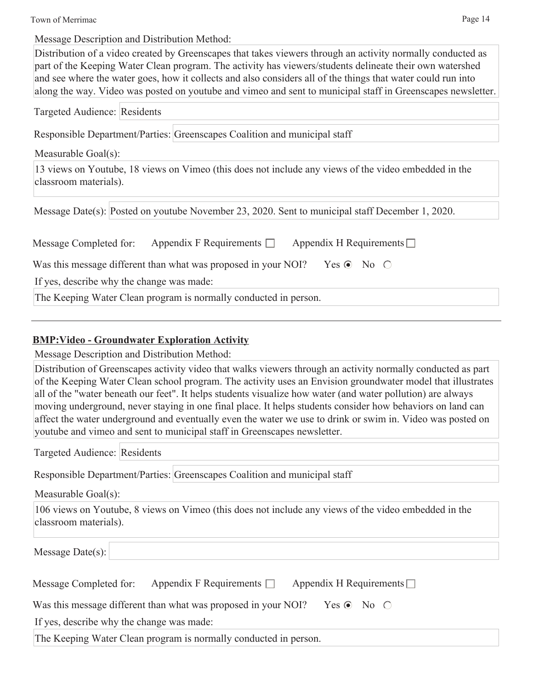Town of Merrimac Page 14

Message Description and Distribution Method:

Distribution of a video created by Greenscapes that takes viewers through an activity normally conducted as part of the Keeping Water Clean program. The activity has viewers/students delineate their own watershed and see where the water goes, how it collects and also considers all of the things that water could run into along the way. Video was posted on youtube and vimeo and sent to municipal staff in Greenscapes newsletter.

| Targeted Audience: Residents |                                                                                                      |
|------------------------------|------------------------------------------------------------------------------------------------------|
|                              | Responsible Department/Parties: Greenscapes Coalition and municipal staff                            |
| Measurable Goal(s):          |                                                                                                      |
| classroom materials).        | 13 views on Youtube, 18 views on Vimeo (this does not include any views of the video embedded in the |
|                              | Message Date(s): Posted on youtube November 23, 2020. Sent to municipal staff December 1, 2020.      |
| Message Completed for:       | Appendix F Requirements $\Box$ Appendix H Requirements $\Box$                                        |
|                              | Was this message different than what was proposed in your NOI? Yes $\odot$ No $\odot$                |
|                              | If yes, describe why the change was made:                                                            |
|                              | The Keeping Water Clean program is normally conducted in person.                                     |

### **BMP:Video - Groundwater Exploration Activity**

Message Description and Distribution Method:

Distribution of Greenscapes activity video that walks viewers through an activity normally conducted as part of the Keeping Water Clean school program. The activity uses an Envision groundwater model that illustrates all of the "water beneath our feet". It helps students visualize how water (and water pollution) are always moving underground, never staying in one final place. It helps students consider how behaviors on land can affect the water underground and eventually even the water we use to drink or swim in. Video was posted on youtube and vimeo and sent to municipal staff in Greenscapes newsletter.

Targeted Audience: Residents

Responsible Department/Parties: Greenscapes Coalition and municipal staff

Measurable Goal(s):

106 views on Youtube, 8 views on Vimeo (this does not include any views of the video embedded in the classroom materials).

Message Date(s):

| Appendix H Requirements $\Box$<br>Appendix F Requirements $\Box$<br>Message Completed for: |  |
|--------------------------------------------------------------------------------------------|--|
|--------------------------------------------------------------------------------------------|--|

Was this message different than what was proposed in your NOI? Yes  $\odot$  No  $\odot$ 

If yes, describe why the change was made:

The Keeping Water Clean program is normally conducted in person.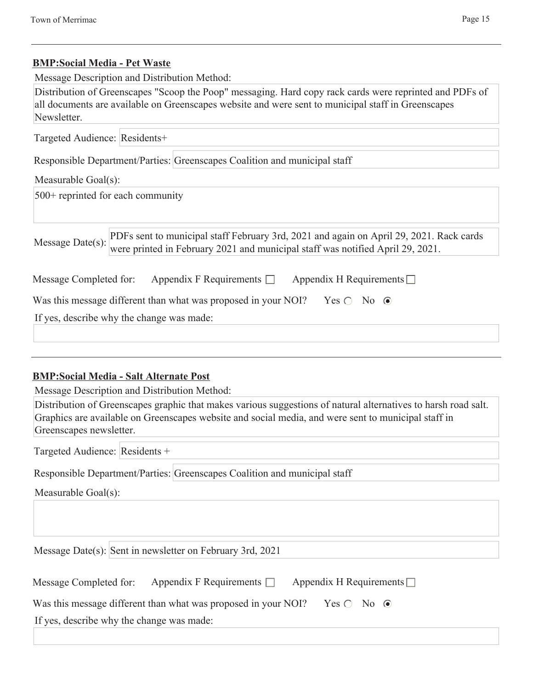### **BMP:Social Media - Pet Waste**

Message Description and Distribution Method:

Distribution of Greenscapes "Scoop the Poop" messaging. Hard copy rack cards were reprinted and PDFs of all documents are available on Greenscapes website and were sent to municipal staff in Greenscapes Newsletter.

| Targeted Audience: Residents+                                                                                                                                                                 |
|-----------------------------------------------------------------------------------------------------------------------------------------------------------------------------------------------|
| Responsible Department/Parties: Greenscapes Coalition and municipal staff                                                                                                                     |
| Measurable Goal(s):                                                                                                                                                                           |
| $500+$ reprinted for each community                                                                                                                                                           |
|                                                                                                                                                                                               |
| PDFs sent to municipal staff February 3rd, 2021 and again on April 29, 2021. Rack cards<br>Message Date(s):<br>were printed in February 2021 and municipal staff was notified April 29, 2021. |
| Appendix F Requirements $\Box$ Appendix H Requirements $\Box$<br>Message Completed for:                                                                                                       |
| Was this message different than what was proposed in your NOI? Yes $\circ$ No $\circ$                                                                                                         |
| If yes, describe why the change was made:                                                                                                                                                     |
|                                                                                                                                                                                               |

### **BMP:Social Media - Salt Alternate Post**

Message Description and Distribution Method:

| Distribution of Greenscapes graphic that makes various suggestions of natural alternatives to harsh road salt. |
|----------------------------------------------------------------------------------------------------------------|
| Graphics are available on Greenscapes website and social media, and were sent to municipal staff in            |
| Greenscapes newsletter.                                                                                        |

Targeted Audience: Residents +

Responsible Department/Parties: Greenscapes Coalition and municipal staff

Measurable Goal(s):

Message Date(s): Sent in newsletter on February 3rd, 2021

Was this message different than what was proposed in your NOI? Yes  $\bigcirc$  No  $\bigcirc$ 

If yes, describe why the change was made: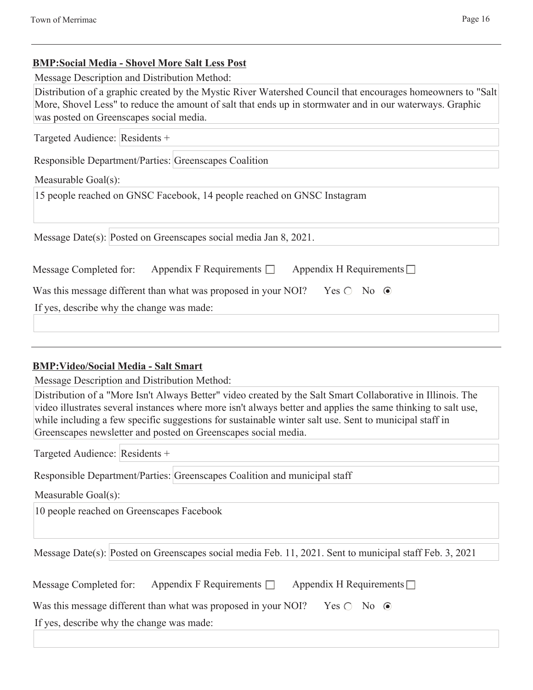### **BMP:Social Media - Shovel More Salt Less Post**

Message Description and Distribution Method:

Distribution of a graphic created by the Mystic River Watershed Council that encourages homeowners to "Salt More, Shovel Less" to reduce the amount of salt that ends up in stormwater and in our waterways. Graphic was posted on Greenscapes social media.

Targeted Audience: Residents +

Responsible Department/Parties: Greenscapes Coalition

### Measurable Goal(s):

15 people reached on GNSC Facebook, 14 people reached on GNSC Instagram

Message Date(s): Posted on Greenscapes social media Jan 8, 2021.

| Message Completed for:                                                                      | Appendix F Requirements $\Box$ | Appendix H Requirements $\Box$ |  |
|---------------------------------------------------------------------------------------------|--------------------------------|--------------------------------|--|
| Was this message different than what was proposed in your NOI? Yes $\bigcirc$ No $\bigcirc$ |                                |                                |  |
| If yes, describe why the change was made:                                                   |                                |                                |  |
|                                                                                             |                                |                                |  |

### **BMP:Video/Social Media - Salt Smart**

Message Description and Distribution Method:

Distribution of a "More Isn't Always Better" video created by the Salt Smart Collaborative in Illinois. The video illustrates several instances where more isn't always better and applies the same thinking to salt use, while including a few specific suggestions for sustainable winter salt use. Sent to municipal staff in Greenscapes newsletter and posted on Greenscapes social media.

Targeted Audience: Residents +

Responsible Department/Parties: Greenscapes Coalition and municipal staff

Measurable Goal(s):

10 people reached on Greenscapes Facebook

Message Date(s): Posted on Greenscapes social media Feb. 11, 2021. Sent to municipal staff Feb. 3, 2021

| Message Completed for: | Appendix F Requirements $\Box$ | Appendix H Requirements $\square$ |
|------------------------|--------------------------------|-----------------------------------|
|                        |                                |                                   |

Was this message different than what was proposed in your NOI? Yes  $\bigcirc$  No  $\bigcirc$ 

If yes, describe why the change was made: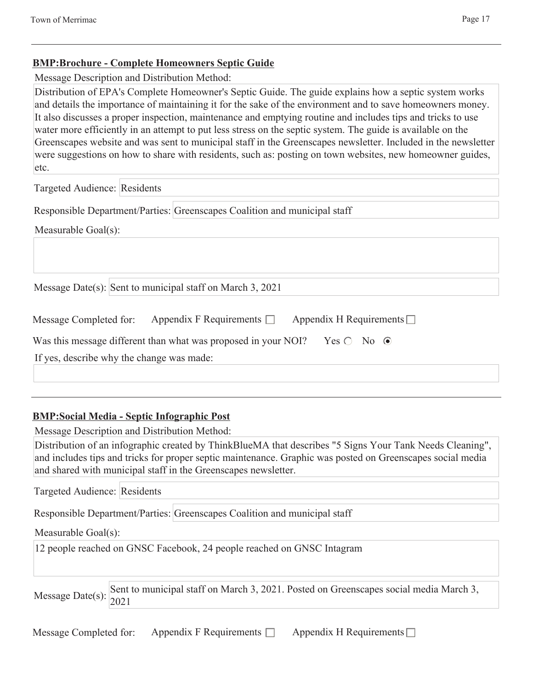### **BMP:Brochure - Complete Homeowners Septic Guide**

Message Description and Distribution Method:

Distribution of EPA's Complete Homeowner's Septic Guide. The guide explains how a septic system works and details the importance of maintaining it for the sake of the environment and to save homeowners money. It also discusses a proper inspection, maintenance and emptying routine and includes tips and tricks to use water more efficiently in an attempt to put less stress on the septic system. The guide is available on the Greenscapes website and was sent to municipal staff in the Greenscapes newsletter. Included in the newsletter were suggestions on how to share with residents, such as: posting on town websites, new homeowner guides, etc.

Targeted Audience: Residents

Responsible Department/Parties: Greenscapes Coalition and municipal staff

Measurable Goal(s):

Message Date(s): Sent to municipal staff on March 3, 2021

| Message Completed for: | Appendix F Requirements $\Box$ | Appendix H Requirements $\Box$ |
|------------------------|--------------------------------|--------------------------------|
|                        |                                |                                |

Was this message different than what was proposed in your NOI? Yes  $\bigcirc$  No  $\bigcirc$ 

If yes, describe why the change was made:

## **BMP:Social Media - Septic Infographic Post**

Message Description and Distribution Method:

Distribution of an infographic created by ThinkBlueMA that describes "5 Signs Your Tank Needs Cleaning", and includes tips and tricks for proper septic maintenance. Graphic was posted on Greenscapes social media and shared with municipal staff in the Greenscapes newsletter.

Targeted Audience: Residents

Responsible Department/Parties: Greenscapes Coalition and municipal staff

### Measurable Goal(s):

12 people reached on GNSC Facebook, 24 people reached on GNSC Intagram

Sent to municipal staff on March 3, 2021. Posted on Greenscapes social media March 3, Message Date(s):  $\vert_{2021}^{\sim}$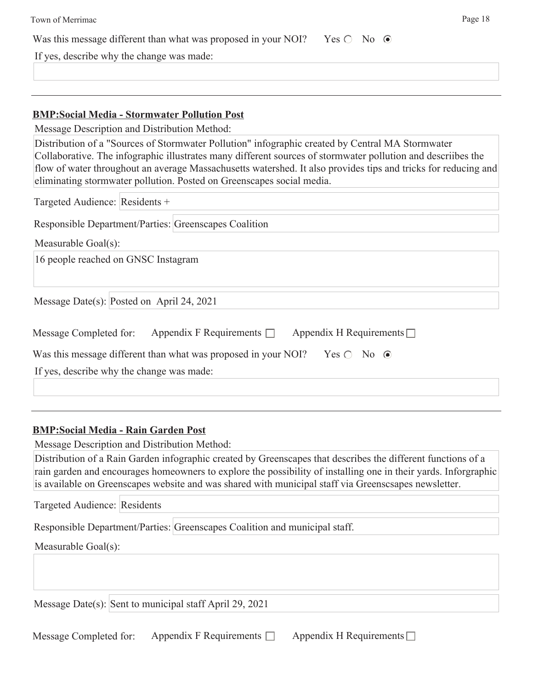| Town of Merrimac<br>Page 18                                                                                                                                                                                                                                                                                                                                                                                 |
|-------------------------------------------------------------------------------------------------------------------------------------------------------------------------------------------------------------------------------------------------------------------------------------------------------------------------------------------------------------------------------------------------------------|
| Was this message different than what was proposed in your NOI? Yes $\bigcirc$ No $\bigcirc$                                                                                                                                                                                                                                                                                                                 |
| If yes, describe why the change was made:                                                                                                                                                                                                                                                                                                                                                                   |
|                                                                                                                                                                                                                                                                                                                                                                                                             |
|                                                                                                                                                                                                                                                                                                                                                                                                             |
| <b>BMP:Social Media - Stormwater Pollution Post</b>                                                                                                                                                                                                                                                                                                                                                         |
| Message Description and Distribution Method:                                                                                                                                                                                                                                                                                                                                                                |
| Distribution of a "Sources of Stormwater Pollution" infographic created by Central MA Stormwater<br>Collaborative. The infographic illustrates many different sources of stormwater pollution and descriibes the<br>flow of water throughout an average Massachusetts watershed. It also provides tips and tricks for reducing and<br>eliminating stormwater pollution. Posted on Greenscapes social media. |
| Targeted Audience: Residents +                                                                                                                                                                                                                                                                                                                                                                              |
| Responsible Department/Parties: Greenscapes Coalition                                                                                                                                                                                                                                                                                                                                                       |
| Measurable Goal(s):                                                                                                                                                                                                                                                                                                                                                                                         |
| 16 people reached on GNSC Instagram                                                                                                                                                                                                                                                                                                                                                                         |
| Message Date(s): Posted on April 24, 2021                                                                                                                                                                                                                                                                                                                                                                   |
| Appendix F Requirements $\Box$<br>Appendix H Requirements $\Box$<br>Message Completed for:                                                                                                                                                                                                                                                                                                                  |
| Was this message different than what was proposed in your NOI?<br>Yes $\bigcirc$ No $\odot$                                                                                                                                                                                                                                                                                                                 |
| If yes, describe why the change was made:                                                                                                                                                                                                                                                                                                                                                                   |
|                                                                                                                                                                                                                                                                                                                                                                                                             |
| <b>BMP:Social Media - Rain Garden Post</b>                                                                                                                                                                                                                                                                                                                                                                  |
| Message Description and Distribution Method:                                                                                                                                                                                                                                                                                                                                                                |
| Distribution of a Rain Garden infographic created by Greenscapes that describes the different functions of a<br>rain garden and encourages homeowners to explore the possibility of installing one in their yards. Inforgraphic<br>is available on Greenscapes website and was shared with municipal staff via Greenscsapes newsletter.                                                                     |
| Targeted Audience: Residents                                                                                                                                                                                                                                                                                                                                                                                |

Responsible Department/Parties: Greenscapes Coalition and municipal staff.

Measurable Goal(s):

Message Date(s): Sent to municipal staff April 29, 2021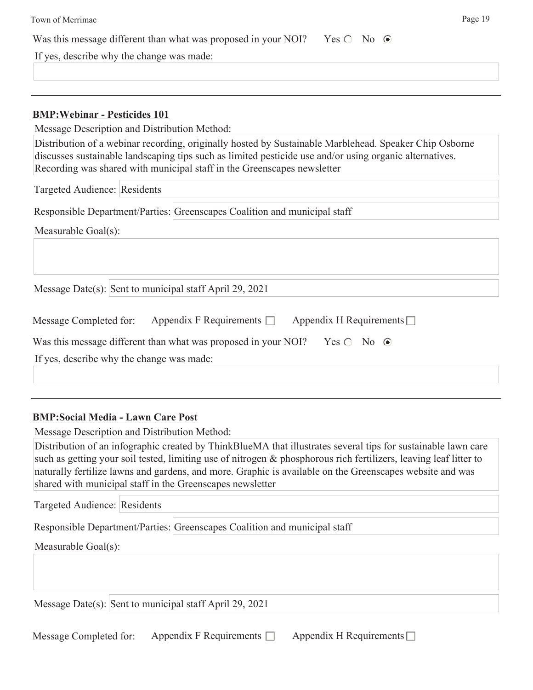| Town of Merrimac                                                                                                                                                                                                                                                                             | Page 19 |
|----------------------------------------------------------------------------------------------------------------------------------------------------------------------------------------------------------------------------------------------------------------------------------------------|---------|
| Was this message different than what was proposed in your NOI? Yes $\bigcirc$ No $\bigcirc$                                                                                                                                                                                                  |         |
| If yes, describe why the change was made:                                                                                                                                                                                                                                                    |         |
|                                                                                                                                                                                                                                                                                              |         |
| <b>BMP: Webinar - Pesticides 101</b>                                                                                                                                                                                                                                                         |         |
| Message Description and Distribution Method:                                                                                                                                                                                                                                                 |         |
| Distribution of a webinar recording, originally hosted by Sustainable Marblehead. Speaker Chip Osborne<br>discusses sustainable landscaping tips such as limited pesticide use and/or using organic alternatives.<br>Recording was shared with municipal staff in the Greenscapes newsletter |         |
| Targeted Audience: Residents                                                                                                                                                                                                                                                                 |         |
| Responsible Department/Parties: Greenscapes Coalition and municipal staff                                                                                                                                                                                                                    |         |
| Measurable Goal(s):                                                                                                                                                                                                                                                                          |         |
| Message Date(s): Sent to municipal staff April 29, 2021                                                                                                                                                                                                                                      |         |
| Appendix F Requirements $\Box$<br>Appendix H Requirements $\Box$<br>Message Completed for:                                                                                                                                                                                                   |         |
| Was this message different than what was proposed in your NOI? Yes $\bigcirc$ No $\bigcirc$                                                                                                                                                                                                  |         |
| If yes, describe why the change was made:                                                                                                                                                                                                                                                    |         |
|                                                                                                                                                                                                                                                                                              |         |

### **BMP:Social Media - Lawn Care Post**

Message Description and Distribution Method:

Distribution of an infographic created by ThinkBlueMA that illustrates several tips for sustainable lawn care such as getting your soil tested, limiting use of nitrogen & phosphorous rich fertilizers, leaving leaf litter to naturally fertilize lawns and gardens, and more. Graphic is available on the Greenscapes website and was shared with municipal staff in the Greenscapes newsletter

Targeted Audience: Residents

Responsible Department/Parties: Greenscapes Coalition and municipal staff

Measurable Goal(s):

Message Date(s): Sent to municipal staff April 29, 2021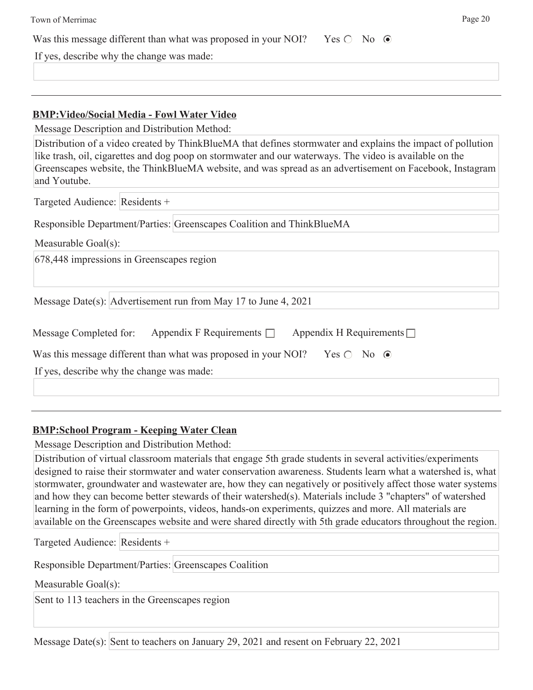| Page 20<br>Town of Merrimac                                                                                                                                                                                                                                                                                                                       |  |
|---------------------------------------------------------------------------------------------------------------------------------------------------------------------------------------------------------------------------------------------------------------------------------------------------------------------------------------------------|--|
| Was this message different than what was proposed in your NOI? Yes $\bigcirc$ No $\bigcirc$                                                                                                                                                                                                                                                       |  |
| If yes, describe why the change was made:                                                                                                                                                                                                                                                                                                         |  |
|                                                                                                                                                                                                                                                                                                                                                   |  |
|                                                                                                                                                                                                                                                                                                                                                   |  |
| <b>BMP:Video/Social Media - Fowl Water Video</b>                                                                                                                                                                                                                                                                                                  |  |
| Message Description and Distribution Method:                                                                                                                                                                                                                                                                                                      |  |
| Distribution of a video created by ThinkBlueMA that defines stormwater and explains the impact of pollution<br>like trash, oil, cigarettes and dog poop on stormwater and our waterways. The video is available on the<br>Greenscapes website, the ThinkBlueMA website, and was spread as an advertisement on Facebook, Instagram<br>and Youtube. |  |
| Targeted Audience: Residents +                                                                                                                                                                                                                                                                                                                    |  |
| Responsible Department/Parties: Greenscapes Coalition and ThinkBlueMA                                                                                                                                                                                                                                                                             |  |
| Measurable Goal(s):                                                                                                                                                                                                                                                                                                                               |  |
| 678,448 impressions in Greenscapes region                                                                                                                                                                                                                                                                                                         |  |
| Message Date(s): Advertisement run from May 17 to June 4, 2021                                                                                                                                                                                                                                                                                    |  |
| Appendix F Requirements $\Box$<br>Appendix H Requirements $\Box$<br>Message Completed for:                                                                                                                                                                                                                                                        |  |
| Was this message different than what was proposed in your NOI?<br>Yes $\bigcirc$ No $\bigcirc$                                                                                                                                                                                                                                                    |  |
| If yes, describe why the change was made:                                                                                                                                                                                                                                                                                                         |  |
|                                                                                                                                                                                                                                                                                                                                                   |  |

### **BMP:School Program - Keeping Water Clean**

Message Description and Distribution Method:

Distribution of virtual classroom materials that engage 5th grade students in several activities/experiments designed to raise their stormwater and water conservation awareness. Students learn what a watershed is, what stormwater, groundwater and wastewater are, how they can negatively or positively affect those water systems and how they can become better stewards of their watershed(s). Materials include 3 "chapters" of watershed learning in the form of powerpoints, videos, hands-on experiments, quizzes and more. All materials are available on the Greenscapes website and were shared directly with 5th grade educators throughout the region.

Targeted Audience: Residents +

Responsible Department/Parties: Greenscapes Coalition

Measurable Goal(s):

Sent to 113 teachers in the Greenscapes region

Message Date(s): Sent to teachers on January 29, 2021 and resent on February 22, 2021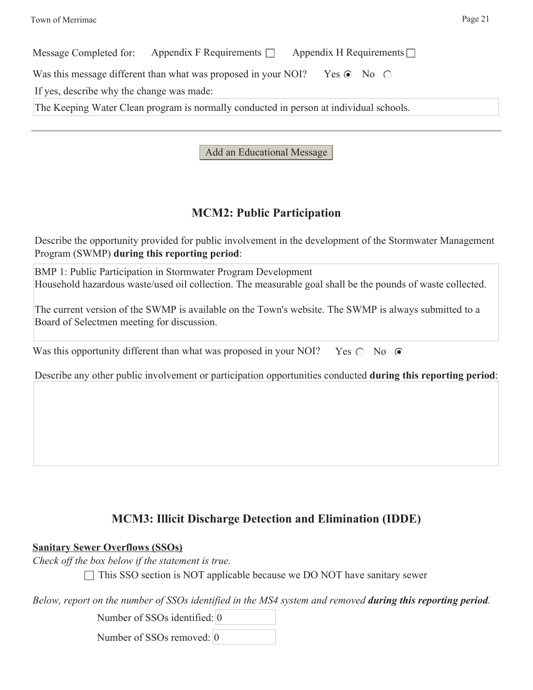| Message Completed for:                                                                 | Appendix F Requirements $\Box$ Appendix H Requirements $\Box$ |  |  |
|----------------------------------------------------------------------------------------|---------------------------------------------------------------|--|--|
| Was this message different than what was proposed in your NOI? Yes $\odot$ No $\odot$  |                                                               |  |  |
| If yes, describe why the change was made:                                              |                                                               |  |  |
| The Keeping Water Clean program is normally conducted in person at individual schools. |                                                               |  |  |
|                                                                                        |                                                               |  |  |

Add an Educational Message

### **MCM2: Public Participation**

Describe the opportunity provided for public involvement in the development of the Stormwater Management Program (SWMP) **during this reporting period**:

BMP 1: Public Participation in Stormwater Program Development Household hazardous waste/used oil collection. The measurable goal shall be the pounds of waste collected.

The current version of the SWMP is available on the Town's website. The SWMP is always submitted to a Board of Selectmen meeting for discussion.

| Was this opportunity different than what was proposed in your NOI? Yes $\bigcirc$ No $\bigcirc$ |  |  |
|-------------------------------------------------------------------------------------------------|--|--|
|                                                                                                 |  |  |

Describe any other public involvement or participation opportunities conducted **during this reporting period**:

### **MCM3: Illicit Discharge Detection and Elimination (IDDE)**

### **Sanitary Sewer Overflows (SSOs)**

*Check off the box below if the statement is true.*

 $\Box$  This SSO section is NOT applicable because we DO NOT have sanitary sewer

*Below, report on the number of SSOs identified in the MS4 system and removed during this reporting period.*

Number of SSOs identified: 0

Number of SSOs removed: 0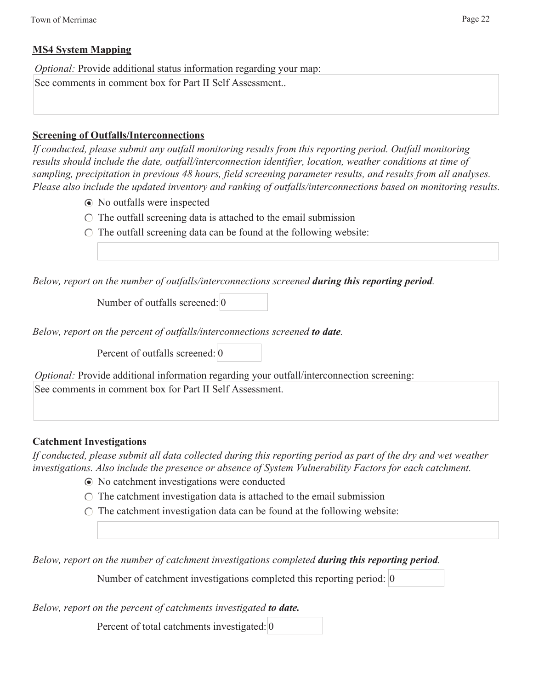### **MS4 System Mapping**

*Optional: Provide additional status information regarding your map:* 

See comments in comment box for Part II Self Assessment..

### **Screening of Outfalls/Interconnections**

*If conducted, please submit any outfall monitoring results from this reporting period. Outfall monitoring results should include the date, outfall/interconnection identifier, location, weather conditions at time of sampling, precipitation in previous 48 hours, field screening parameter results, and results from all analyses. Please also include the updated inventory and ranking of outfalls/interconnections based on monitoring results.*

- No outfalls were inspected
- $\circ$  The outfall screening data is attached to the email submission
- $\circ$  The outfall screening data can be found at the following website:

*Below, report on the number of outfalls/interconnections screened during this reporting period.*

Number of outfalls screened: 0

*Below, report on the percent of outfalls/interconnections screened to date.*

Percent of outfalls screened: 0

*Optional:* Provide additional information regarding your outfall/interconnection screening: See comments in comment box for Part II Self Assessment.

### **Catchment Investigations**

*If conducted, please submit all data collected during this reporting period as part of the dry and wet weather investigations. Also include the presence or absence of System Vulnerability Factors for each catchment.*

- No catchment investigations were conducted
- $\circ$  The catchment investigation data is attached to the email submission
- $\circ$  The catchment investigation data can be found at the following website:

*Below, report on the number of catchment investigations completed during this reporting period.*

Number of catchment investigations completed this reporting period: 0

*Below, report on the percent of catchments investigated to date.*

Percent of total catchments investigated: 0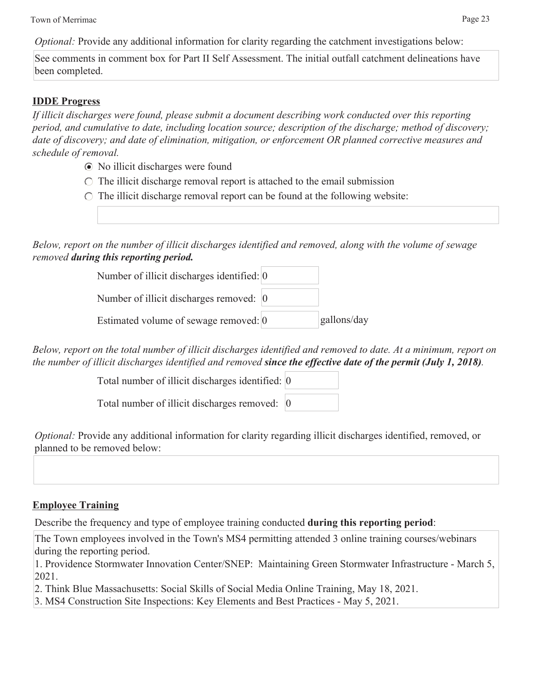Town of Merrimac Page 23

*Optional:* Provide any additional information for clarity regarding the catchment investigations below:

See comments in comment box for Part II Self Assessment. The initial outfall catchment delineations have been completed.

### **IDDE Progress**

*If illicit discharges were found, please submit a document describing work conducted over this reporting period, and cumulative to date, including location source; description of the discharge; method of discovery; date of discovery; and date of elimination, mitigation, or enforcement OR planned corrective measures and schedule of removal.*

- No illicit discharges were found
- $\circ$  The illicit discharge removal report is attached to the email submission
- $\circ$  The illicit discharge removal report can be found at the following website:

*Below, report on the number of illicit discharges identified and removed, along with the volume of sewage removed during this reporting period.*

| Number of illicit discharges identified: 0 |             |
|--------------------------------------------|-------------|
| Number of illicit discharges removed: 0    |             |
| Estimated volume of sewage removed: 0      | gallons/day |

*Below, report on the total number of illicit discharges identified and removed to date. At a minimum, report on the number of illicit discharges identified and removed since the effective date of the permit (July 1, 2018).*

> Total number of illicit discharges identified: 0 Total number of illicit discharges removed: 0

*Optional:* Provide any additional information for clarity regarding illicit discharges identified, removed, or planned to be removed below:

### **Employee Training**

Describe the frequency and type of employee training conducted **during this reporting period**:

The Town employees involved in the Town's MS4 permitting attended 3 online training courses/webinars during the reporting period.

1. Providence Stormwater Innovation Center/SNEP: Maintaining Green Stormwater Infrastructure - March 5, 2021.

2. Think Blue Massachusetts: Social Skills of Social Media Online Training, May 18, 2021.

3. MS4 Construction Site Inspections: Key Elements and Best Practices - May 5, 2021.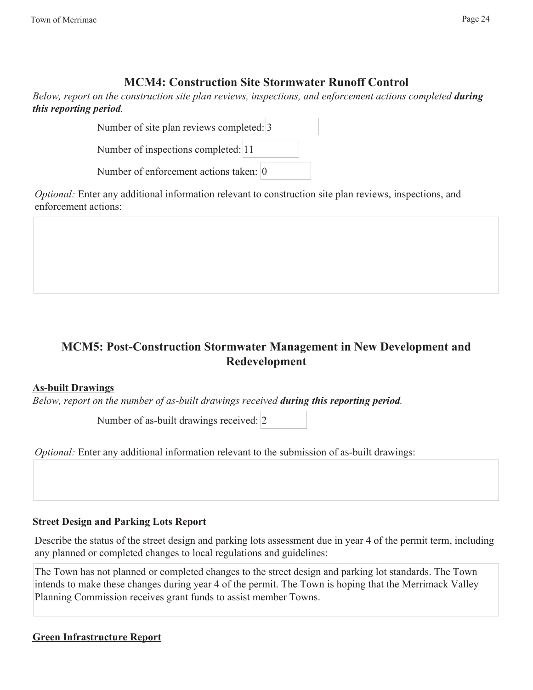### **MCM4: Construction Site Stormwater Runoff Control**

*Below, report on the construction site plan reviews, inspections, and enforcement actions completed <i>during this reporting period.*

| Number of site plan reviews completed: 3 |  |  |
|------------------------------------------|--|--|
| Number of inspections completed: 11      |  |  |
| Number of enforcement actions taken: 0   |  |  |

*Optional:* Enter any additional information relevant to construction site plan reviews, inspections, and enforcement actions:

## **MCM5: Post-Construction Stormwater Management in New Development and Redevelopment**

### **As-built Drawings**

*Below, report on the number of as-built drawings received during this reporting period.*

Number of as-built drawings received: 2

*Optional:* Enter any additional information relevant to the submission of as-built drawings:

### **Street Design and Parking Lots Report**

Describe the status of the street design and parking lots assessment due in year 4 of the permit term, including any planned or completed changes to local regulations and guidelines:

The Town has not planned or completed changes to the street design and parking lot standards. The Town intends to make these changes during year 4 of the permit. The Town is hoping that the Merrimack Valley Planning Commission receives grant funds to assist member Towns.

### **Green Infrastructure Report**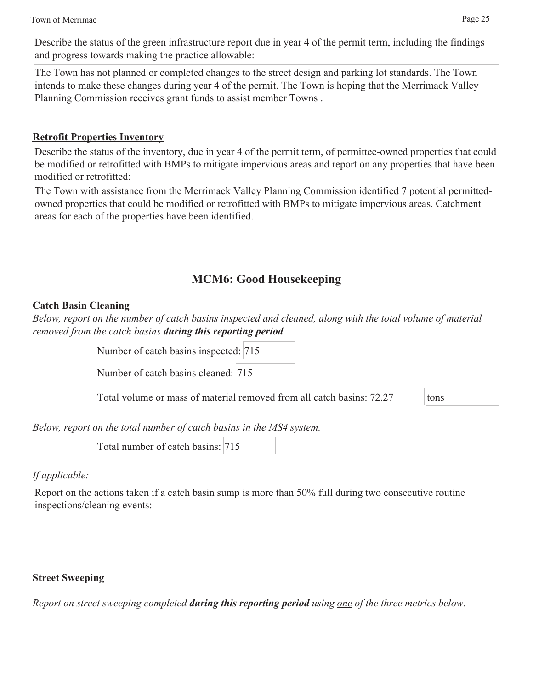Describe the status of the green infrastructure report due in year 4 of the permit term, including the findings and progress towards making the practice allowable:

The Town has not planned or completed changes to the street design and parking lot standards. The Town intends to make these changes during year 4 of the permit. The Town is hoping that the Merrimack Valley Planning Commission receives grant funds to assist member Towns .

### **Retrofit Properties Inventory**

Describe the status of the inventory, due in year 4 of the permit term, of permittee-owned properties that could be modified or retrofitted with BMPs to mitigate impervious areas and report on any properties that have been modified or retrofitted:

The Town with assistance from the Merrimack Valley Planning Commission identified 7 potential permittedowned properties that could be modified or retrofitted with BMPs to mitigate impervious areas. Catchment areas for each of the properties have been identified.

## **MCM6: Good Housekeeping**

### **Catch Basin Cleaning**

*Below, report on the number of catch basins inspected and cleaned, along with the total volume of material removed from the catch basins during this reporting period.*

Number of catch basins inspected: 715

Number of catch basins cleaned: 715

Total volume or mass of material removed from all catch basins: 72.27 tons

*Below, report on the total number of catch basins in the MS4 system.*

Total number of catch basins: 715

### *If applicable:*

Report on the actions taken if a catch basin sump is more than 50% full during two consecutive routine inspections/cleaning events:

### **Street Sweeping**

*Report on street sweeping completed during this reporting period using one of the three metrics below.*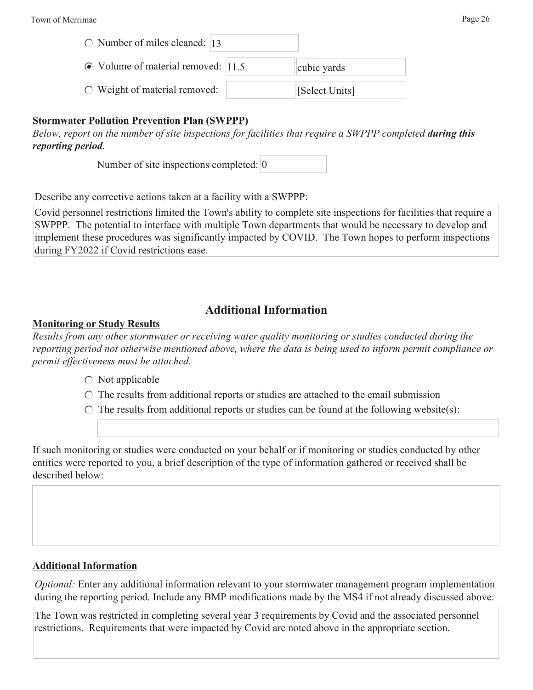| $\circ$ Number of miles cleaned:  13     |                |
|------------------------------------------|----------------|
| $\odot$ Volume of material removed: 11.5 | cubic yards    |
| $\circ$ Weight of material removed:      | [Select Units] |

#### **Stormwater Pollution Prevention Plan (SWPPP)**

*Below, report on the number of site inspections for facilities that require a SWPPP completed <i>during this reporting period.*

Number of site inspections completed: 0

Describe any corrective actions taken at a facility with a SWPPP:

Covid personnel restrictions limited the Town's ability to complete site inspections for facilities that require a SWPPP. The potential to interface with multiple Town departments that would be necessary to develop and implement these procedures was significantly impacted by COVID. The Town hopes to perform inspections during FY2022 if Covid restrictions ease.

### **Additional Information**

#### **Monitoring or Study Results**

*Results from any other stormwater or receiving water quality monitoring or studies conducted during the reporting period not otherwise mentioned above, where the data is being used to inform permit compliance or permit effectiveness must be attached.*

- $\bigcirc$  Not applicable
- $\circ$  The results from additional reports or studies are attached to the email submission
- $\circ$  The results from additional reports or studies can be found at the following website(s):

If such monitoring or studies were conducted on your behalf or if monitoring or studies conducted by other entities were reported to you, a brief description of the type of information gathered or received shall be described below:

#### **Additional Information**

*Optional:* Enter any additional information relevant to your stormwater management program implementation during the reporting period. Include any BMP modifications made by the MS4 if not already discussed above:

The Town was restricted in completing several year 3 requirements by Covid and the associated personnel restrictions. Requirements that were impacted by Covid are noted above in the appropriate section.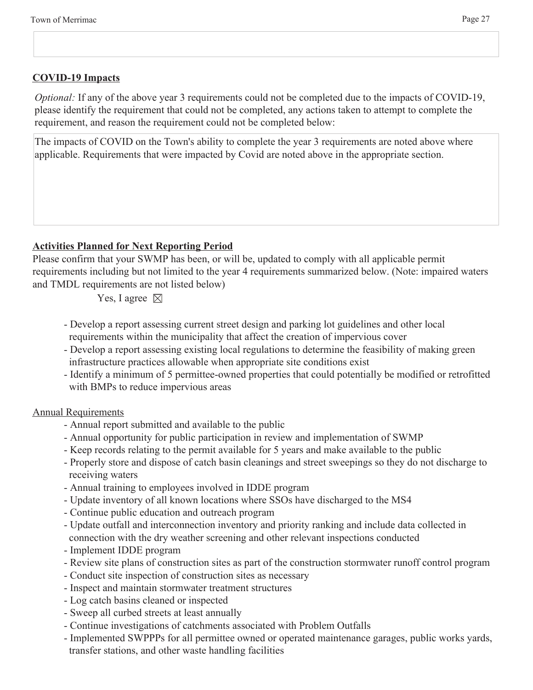### **COVID-19 Impacts**

*Optional:* If any of the above year 3 requirements could not be completed due to the impacts of COVID-19, please identify the requirement that could not be completed, any actions taken to attempt to complete the requirement, and reason the requirement could not be completed below:

The impacts of COVID on the Town's ability to complete the year 3 requirements are noted above where applicable. Requirements that were impacted by Covid are noted above in the appropriate section.

### **Activities Planned for Next Reporting Period**

Please confirm that your SWMP has been, or will be, updated to comply with all applicable permit requirements including but not limited to the year 4 requirements summarized below. (Note: impaired waters and TMDL requirements are not listed below)

Yes, I agree  $\boxtimes$ 

- Develop a report assessing current street design and parking lot guidelines and other local requirements within the municipality that affect the creation of impervious cover
- Develop a report assessing existing local regulations to determine the feasibility of making green infrastructure practices allowable when appropriate site conditions exist
- Identify a minimum of 5 permittee-owned properties that could potentially be modified or retrofitted with BMPs to reduce impervious areas

### Annual Requirements

- Annual report submitted and available to the public
- Annual opportunity for public participation in review and implementation of SWMP
- Keep records relating to the permit available for 5 years and make available to the public
- Properly store and dispose of catch basin cleanings and street sweepings so they do not discharge to receiving waters
- Annual training to employees involved in IDDE program
- Update inventory of all known locations where SSOs have discharged to the MS4
- Continue public education and outreach program
- Update outfall and interconnection inventory and priority ranking and include data collected in connection with the dry weather screening and other relevant inspections conducted
- Implement IDDE program
- Review site plans of construction sites as part of the construction stormwater runoff control program
- Conduct site inspection of construction sites as necessary
- Inspect and maintain stormwater treatment structures
- Log catch basins cleaned or inspected
- Sweep all curbed streets at least annually
- Continue investigations of catchments associated with Problem Outfalls
- Implemented SWPPPs for all permittee owned or operated maintenance garages, public works yards, transfer stations, and other waste handling facilities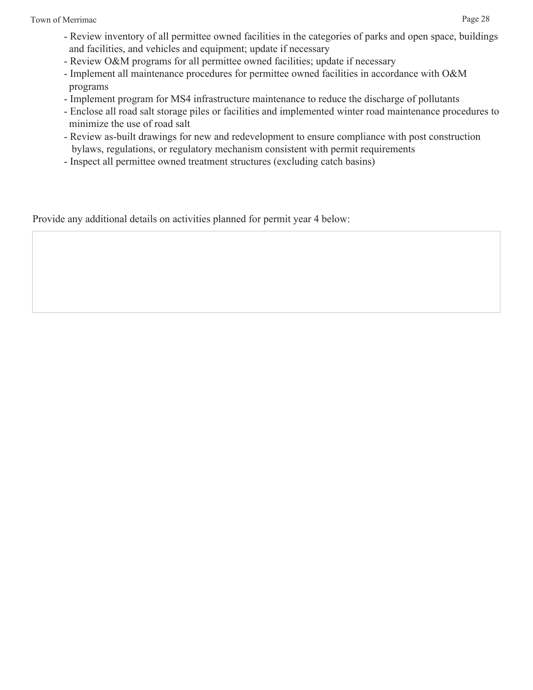- Review O&M programs for all permittee owned facilities; update if necessary
- Implement all maintenance procedures for permittee owned facilities in accordance with O&M programs
- Implement program for MS4 infrastructure maintenance to reduce the discharge of pollutants
- Enclose all road salt storage piles or facilities and implemented winter road maintenance procedures to minimize the use of road salt
- Review as-built drawings for new and redevelopment to ensure compliance with post construction bylaws, regulations, or regulatory mechanism consistent with permit requirements
- Inspect all permittee owned treatment structures (excluding catch basins)

Provide any additional details on activities planned for permit year 4 below: